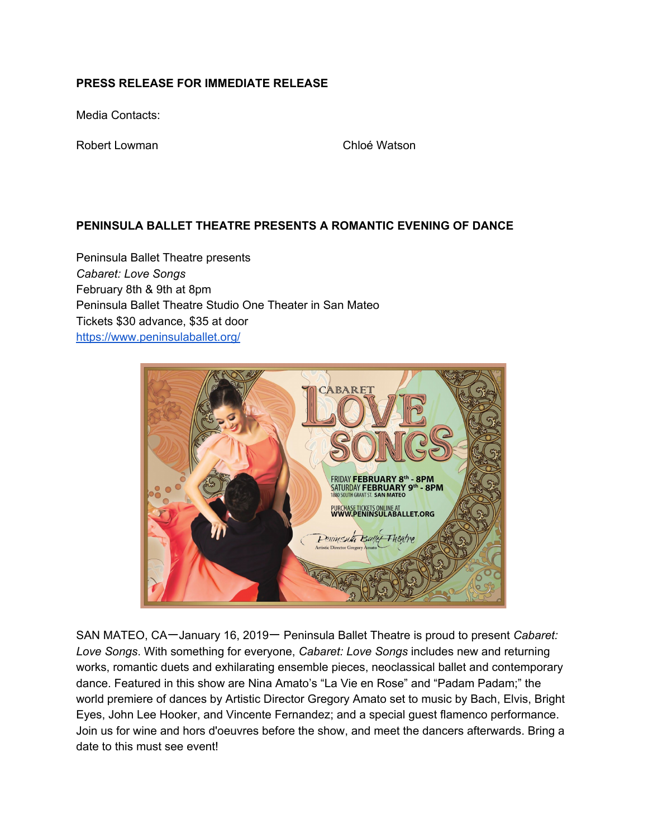# **PRESS RELEASE FOR IMMEDIATE RELEASE**

Media Contacts:

Robert Lowman **Chloé** Watson

# **PENINSULA BALLET THEATRE PRESENTS A ROMANTIC EVENING OF DANCE**

Peninsula Ballet Theatre presents *Cabaret: Love Songs* February 8th & 9th at 8pm Peninsula Ballet Theatre Studio One Theater in San Mateo Tickets \$30 advance, \$35 at door <https://www.peninsulaballet.org/>



SAN MATEO, CA一January 16, 2019一 Peninsula Ballet Theatre is proud to present *Cabaret: Love Songs*. With something for everyone, *Cabaret: Love Songs* includes new and returning works, romantic duets and exhilarating ensemble pieces, neoclassical ballet and contemporary dance. Featured in this show are Nina Amato's "La Vie en Rose" and "Padam Padam;" the world premiere of dances by Artistic Director Gregory Amato set to music by Bach, Elvis, Bright Eyes, John Lee Hooker, and Vincente Fernandez; and a special guest flamenco performance. Join us for wine and hors d'oeuvres before the show, and meet the dancers afterwards. Bring a date to this must see event!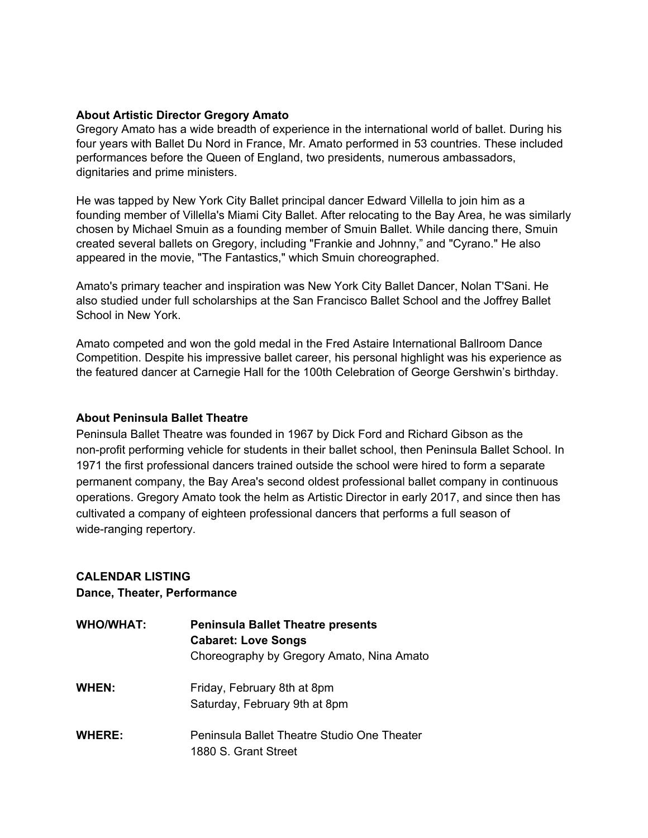### **About Artistic Director Gregory Amato**

Gregory Amato has a wide breadth of experience in the international world of ballet. During his four years with Ballet Du Nord in France, Mr. Amato performed in 53 countries. These included performances before the Queen of England, two presidents, numerous ambassadors, dignitaries and prime ministers.

He was tapped by New York City Ballet principal dancer Edward Villella to join him as a founding member of Villella's Miami City Ballet. After relocating to the Bay Area, he was similarly chosen by Michael Smuin as a founding member of Smuin Ballet. While dancing there, Smuin created several ballets on Gregory, including "Frankie and Johnny," and "Cyrano." He also appeared in the movie, "The Fantastics," which Smuin choreographed.

Amato's primary teacher and inspiration was New York City Ballet Dancer, Nolan T'Sani. He also studied under full scholarships at the San Francisco Ballet School and the Joffrey Ballet School in New York.

Amato competed and won the gold medal in the Fred Astaire International Ballroom Dance Competition. Despite his impressive ballet career, his personal highlight was his experience as the featured dancer at Carnegie Hall for the 100th Celebration of George Gershwin's birthday.

#### **About Peninsula Ballet Theatre**

Peninsula Ballet Theatre was founded in 1967 by Dick Ford and Richard Gibson as the non-profit performing vehicle for students in their ballet school, then Peninsula Ballet School. In 1971 the first professional dancers trained outside the school were hired to form a separate permanent company, the Bay Area's second oldest professional ballet company in continuous operations. Gregory Amato took the helm as Artistic Director in early 2017, and since then has cultivated a company of eighteen professional dancers that performs a full season of wide-ranging repertory.

# **CALENDAR LISTING Dance, Theater, Performance**

| <b>WHO/WHAT:</b> | <b>Peninsula Ballet Theatre presents</b><br><b>Cabaret: Love Songs</b><br>Choreography by Gregory Amato, Nina Amato |
|------------------|---------------------------------------------------------------------------------------------------------------------|
| <b>WHEN:</b>     | Friday, February 8th at 8pm<br>Saturday, February 9th at 8pm                                                        |
| <b>WHERE:</b>    | Peninsula Ballet Theatre Studio One Theater<br>1880 S. Grant Street                                                 |